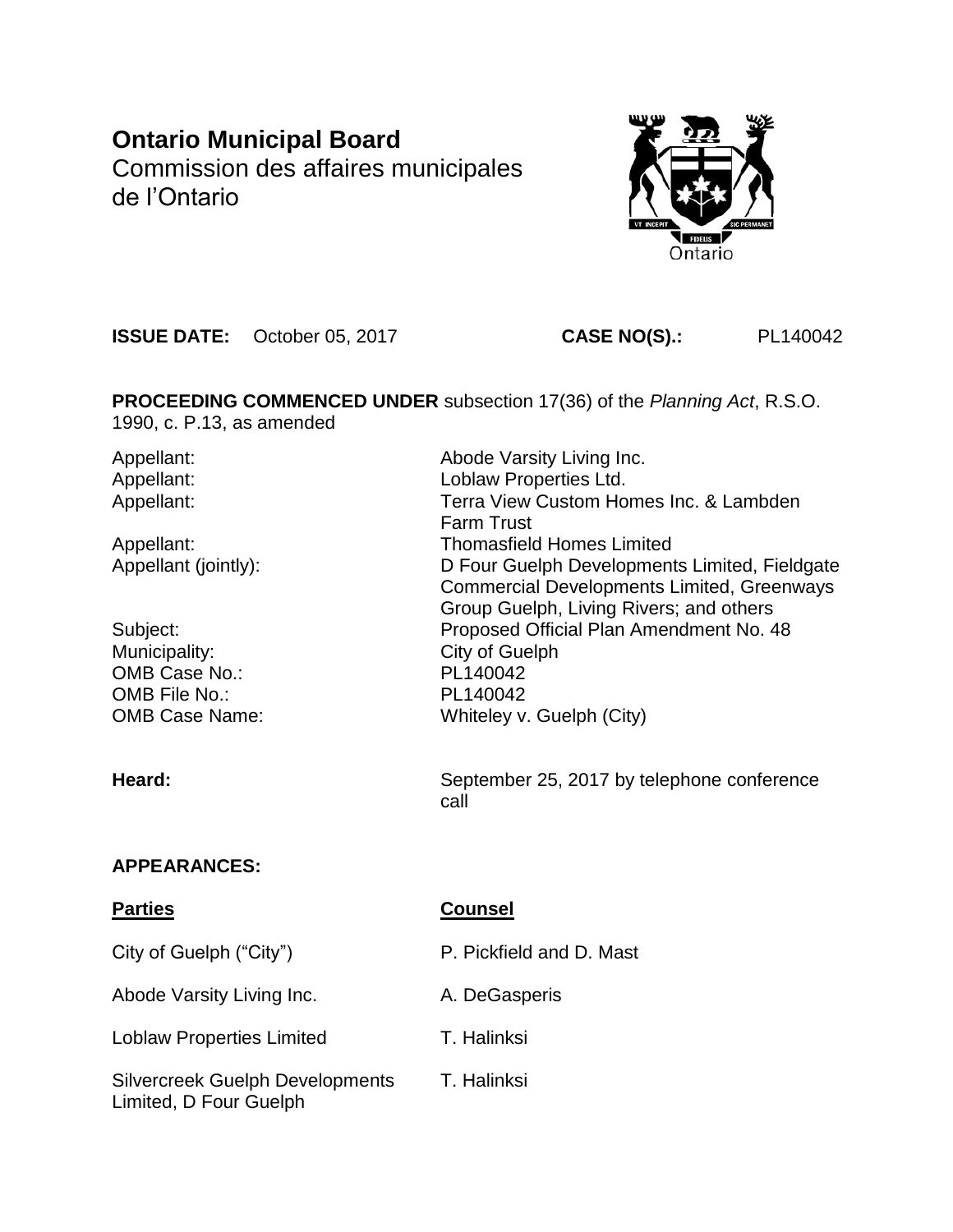# **Ontario Municipal Board** Commission des affaires municipales de l'Ontario



**ISSUE DATE:** October 05, 2017 **CASE NO(S).:** PL140042

**PROCEEDING COMMENCED UNDER** subsection 17(36) of the *Planning Act*, R.S.O. 1990, c. P.13, as amended

| Appellant:            | Abode Varsity Living Inc.                         |
|-----------------------|---------------------------------------------------|
| Appellant:            | Loblaw Properties Ltd.                            |
| Appellant:            | Terra View Custom Homes Inc. & Lambden            |
|                       | <b>Farm Trust</b>                                 |
| Appellant:            | <b>Thomasfield Homes Limited</b>                  |
| Appellant (jointly):  | D Four Guelph Developments Limited, Fieldgate     |
|                       | <b>Commercial Developments Limited, Greenways</b> |
|                       | Group Guelph, Living Rivers; and others           |
| Subject:              | Proposed Official Plan Amendment No. 48           |
| Municipality:         | City of Guelph                                    |
| OMB Case No.:         | PL140042                                          |
| OMB File No.:         | PL140042                                          |
| <b>OMB Case Name:</b> | Whiteley v. Guelph (City)                         |
|                       |                                                   |
|                       |                                                   |

**Heard:** September 25, 2017 by telephone conference call

# **APPEARANCES:**

# **Parties Counsel**

| City of Guelph ("City")                                          | P. Pickfield and D. Mast |
|------------------------------------------------------------------|--------------------------|
| Abode Varsity Living Inc.                                        | A. DeGasperis            |
| <b>Loblaw Properties Limited</b>                                 | T. Halinksi              |
| <b>Silvercreek Guelph Developments</b><br>Limited, D Four Guelph | T. Halinksi              |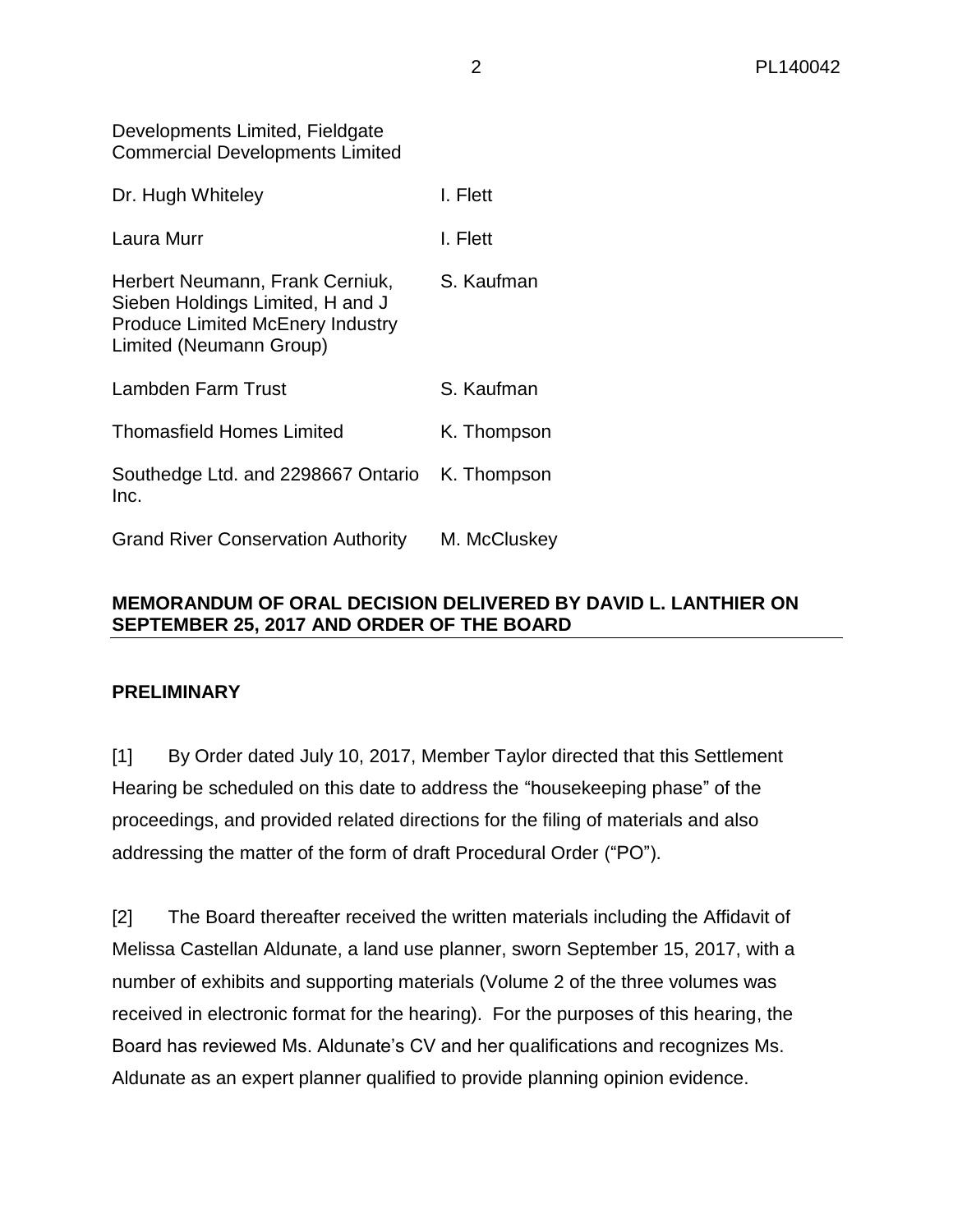Developments Limited, Fieldgate Commercial Developments Limited

| Dr. Hugh Whiteley                                                                                                                         | I. Flett     |
|-------------------------------------------------------------------------------------------------------------------------------------------|--------------|
| Laura Murr                                                                                                                                | I. Flett     |
| Herbert Neumann, Frank Cerniuk,<br>Sieben Holdings Limited, H and J<br><b>Produce Limited McEnery Industry</b><br>Limited (Neumann Group) | S. Kaufman   |
| Lambden Farm Trust                                                                                                                        | S. Kaufman   |
| <b>Thomasfield Homes Limited</b>                                                                                                          | K. Thompson  |
| Southedge Ltd. and 2298667 Ontario<br>Inc.                                                                                                | K. Thompson  |
| <b>Grand River Conservation Authority</b>                                                                                                 | M. McCluskey |

# **MEMORANDUM OF ORAL DECISION DELIVERED BY DAVID L. LANTHIER ON SEPTEMBER 25, 2017 AND ORDER OF THE BOARD**

#### **PRELIMINARY**

[1] By Order dated July 10, 2017, Member Taylor directed that this Settlement Hearing be scheduled on this date to address the "housekeeping phase" of the proceedings, and provided related directions for the filing of materials and also addressing the matter of the form of draft Procedural Order ("PO").

[2] The Board thereafter received the written materials including the Affidavit of Melissa Castellan Aldunate, a land use planner, sworn September 15, 2017, with a number of exhibits and supporting materials (Volume 2 of the three volumes was received in electronic format for the hearing). For the purposes of this hearing, the Board has reviewed Ms. Aldunate's CV and her qualifications and recognizes Ms. Aldunate as an expert planner qualified to provide planning opinion evidence.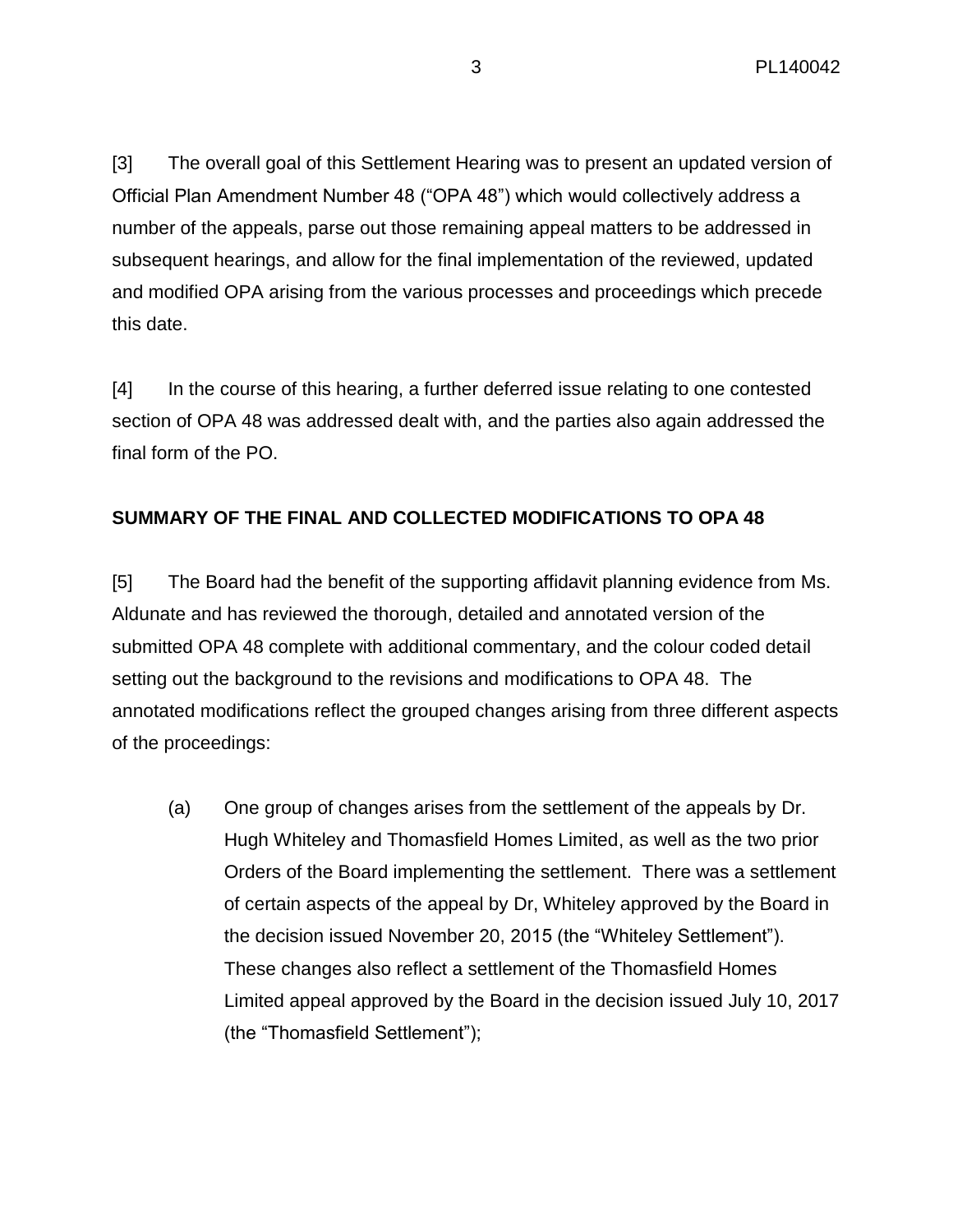[3] The overall goal of this Settlement Hearing was to present an updated version of Official Plan Amendment Number 48 ("OPA 48") which would collectively address a number of the appeals, parse out those remaining appeal matters to be addressed in subsequent hearings, and allow for the final implementation of the reviewed, updated and modified OPA arising from the various processes and proceedings which precede this date.

[4] In the course of this hearing, a further deferred issue relating to one contested section of OPA 48 was addressed dealt with, and the parties also again addressed the final form of the PO.

#### **SUMMARY OF THE FINAL AND COLLECTED MODIFICATIONS TO OPA 48**

[5] The Board had the benefit of the supporting affidavit planning evidence from Ms. Aldunate and has reviewed the thorough, detailed and annotated version of the submitted OPA 48 complete with additional commentary, and the colour coded detail setting out the background to the revisions and modifications to OPA 48. The annotated modifications reflect the grouped changes arising from three different aspects of the proceedings:

(a) One group of changes arises from the settlement of the appeals by Dr. Hugh Whiteley and Thomasfield Homes Limited, as well as the two prior Orders of the Board implementing the settlement. There was a settlement of certain aspects of the appeal by Dr, Whiteley approved by the Board in the decision issued November 20, 2015 (the "Whiteley Settlement"). These changes also reflect a settlement of the Thomasfield Homes Limited appeal approved by the Board in the decision issued July 10, 2017 (the "Thomasfield Settlement");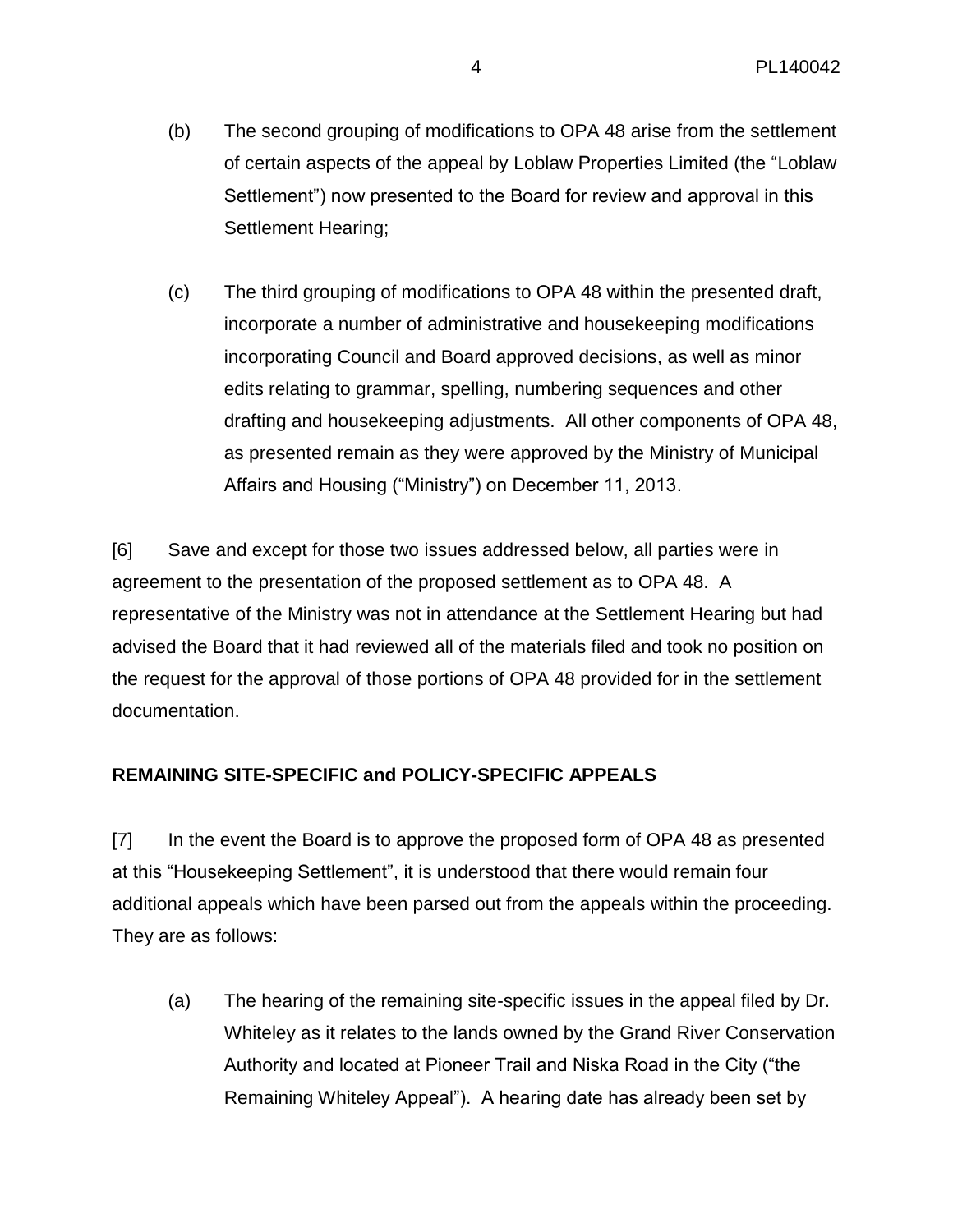- (b) The second grouping of modifications to OPA 48 arise from the settlement of certain aspects of the appeal by Loblaw Properties Limited (the "Loblaw Settlement") now presented to the Board for review and approval in this Settlement Hearing;
- (c) The third grouping of modifications to OPA 48 within the presented draft, incorporate a number of administrative and housekeeping modifications incorporating Council and Board approved decisions, as well as minor edits relating to grammar, spelling, numbering sequences and other drafting and housekeeping adjustments. All other components of OPA 48, as presented remain as they were approved by the Ministry of Municipal Affairs and Housing ("Ministry") on December 11, 2013.

[6] Save and except for those two issues addressed below, all parties were in agreement to the presentation of the proposed settlement as to OPA 48. A representative of the Ministry was not in attendance at the Settlement Hearing but had advised the Board that it had reviewed all of the materials filed and took no position on the request for the approval of those portions of OPA 48 provided for in the settlement documentation.

# **REMAINING SITE-SPECIFIC and POLICY-SPECIFIC APPEALS**

[7] In the event the Board is to approve the proposed form of OPA 48 as presented at this "Housekeeping Settlement", it is understood that there would remain four additional appeals which have been parsed out from the appeals within the proceeding. They are as follows:

(a) The hearing of the remaining site-specific issues in the appeal filed by Dr. Whiteley as it relates to the lands owned by the Grand River Conservation Authority and located at Pioneer Trail and Niska Road in the City ("the Remaining Whiteley Appeal"). A hearing date has already been set by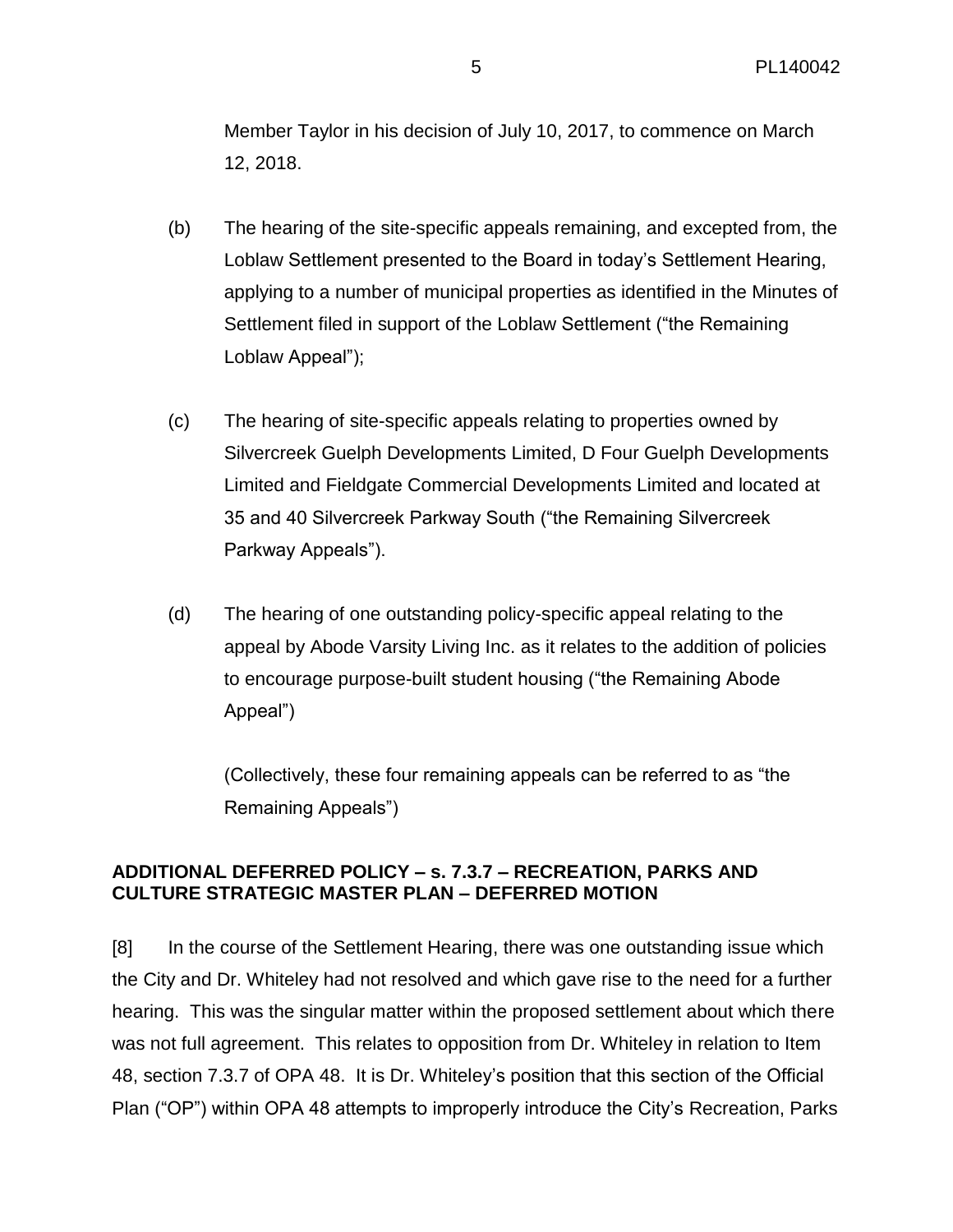Member Taylor in his decision of July 10, 2017, to commence on March 12, 2018.

- (b) The hearing of the site-specific appeals remaining, and excepted from, the Loblaw Settlement presented to the Board in today's Settlement Hearing, applying to a number of municipal properties as identified in the Minutes of Settlement filed in support of the Loblaw Settlement ("the Remaining Loblaw Appeal");
- (c) The hearing of site-specific appeals relating to properties owned by Silvercreek Guelph Developments Limited, D Four Guelph Developments Limited and Fieldgate Commercial Developments Limited and located at 35 and 40 Silvercreek Parkway South ("the Remaining Silvercreek Parkway Appeals").
- (d) The hearing of one outstanding policy-specific appeal relating to the appeal by Abode Varsity Living Inc. as it relates to the addition of policies to encourage purpose-built student housing ("the Remaining Abode Appeal")

(Collectively, these four remaining appeals can be referred to as "the Remaining Appeals")

# **ADDITIONAL DEFERRED POLICY – s. 7.3.7 – RECREATION, PARKS AND CULTURE STRATEGIC MASTER PLAN – DEFERRED MOTION**

[8] In the course of the Settlement Hearing, there was one outstanding issue which the City and Dr. Whiteley had not resolved and which gave rise to the need for a further hearing. This was the singular matter within the proposed settlement about which there was not full agreement. This relates to opposition from Dr. Whiteley in relation to Item 48, section 7.3.7 of OPA 48. It is Dr. Whiteley's position that this section of the Official Plan ("OP") within OPA 48 attempts to improperly introduce the City's Recreation, Parks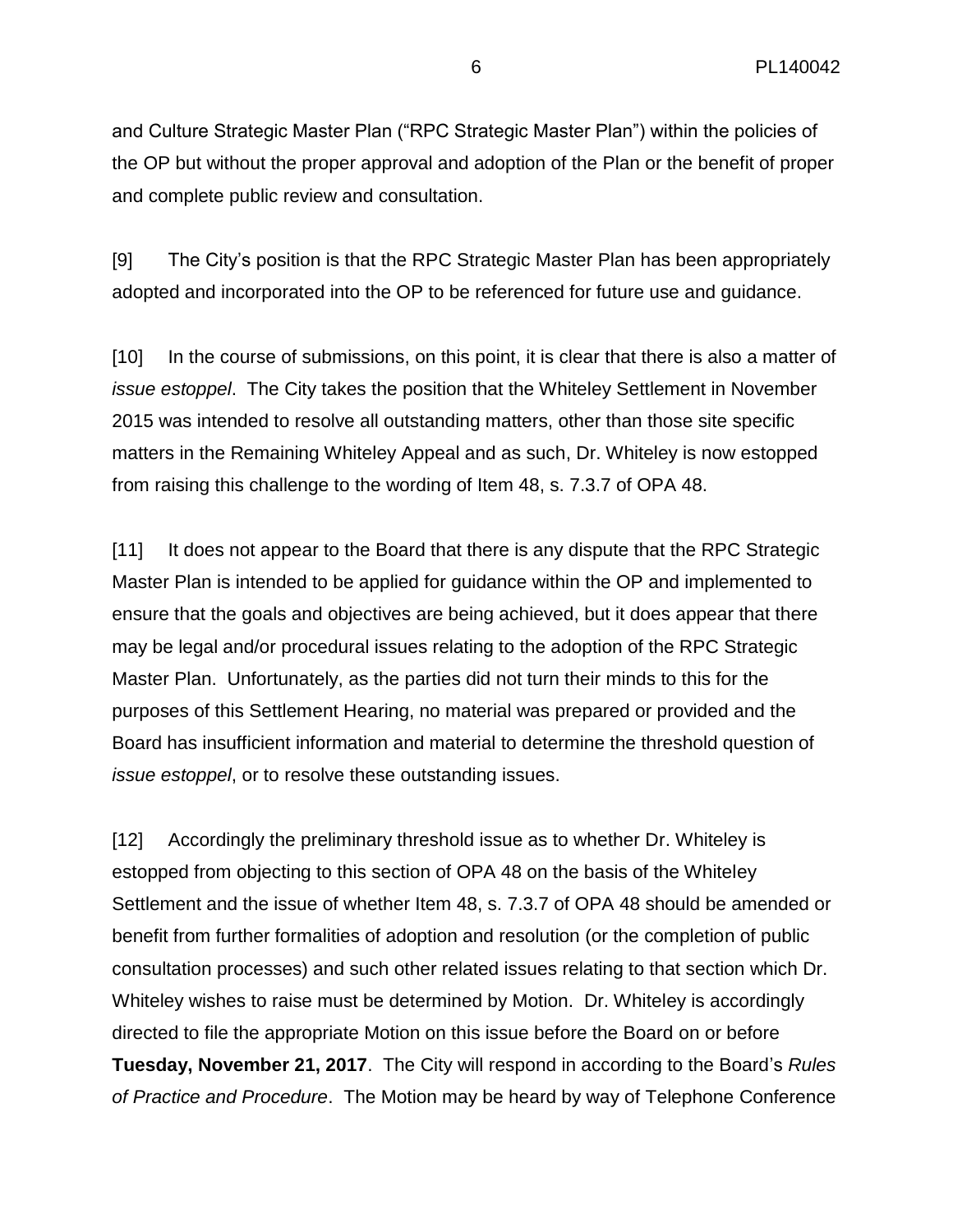and Culture Strategic Master Plan ("RPC Strategic Master Plan") within the policies of the OP but without the proper approval and adoption of the Plan or the benefit of proper and complete public review and consultation.

[9] The City's position is that the RPC Strategic Master Plan has been appropriately adopted and incorporated into the OP to be referenced for future use and guidance.

[10] In the course of submissions, on this point, it is clear that there is also a matter of *issue estoppel*. The City takes the position that the Whiteley Settlement in November 2015 was intended to resolve all outstanding matters, other than those site specific matters in the Remaining Whiteley Appeal and as such, Dr. Whiteley is now estopped from raising this challenge to the wording of Item 48, s. 7.3.7 of OPA 48.

[11] It does not appear to the Board that there is any dispute that the RPC Strategic Master Plan is intended to be applied for guidance within the OP and implemented to ensure that the goals and objectives are being achieved, but it does appear that there may be legal and/or procedural issues relating to the adoption of the RPC Strategic Master Plan. Unfortunately, as the parties did not turn their minds to this for the purposes of this Settlement Hearing, no material was prepared or provided and the Board has insufficient information and material to determine the threshold question of *issue estoppel*, or to resolve these outstanding issues.

[12] Accordingly the preliminary threshold issue as to whether Dr. Whiteley is estopped from objecting to this section of OPA 48 on the basis of the Whiteley Settlement and the issue of whether Item 48, s. 7.3.7 of OPA 48 should be amended or benefit from further formalities of adoption and resolution (or the completion of public consultation processes) and such other related issues relating to that section which Dr. Whiteley wishes to raise must be determined by Motion. Dr. Whiteley is accordingly directed to file the appropriate Motion on this issue before the Board on or before **Tuesday, November 21, 2017**. The City will respond in according to the Board's *Rules of Practice and Procedure*. The Motion may be heard by way of Telephone Conference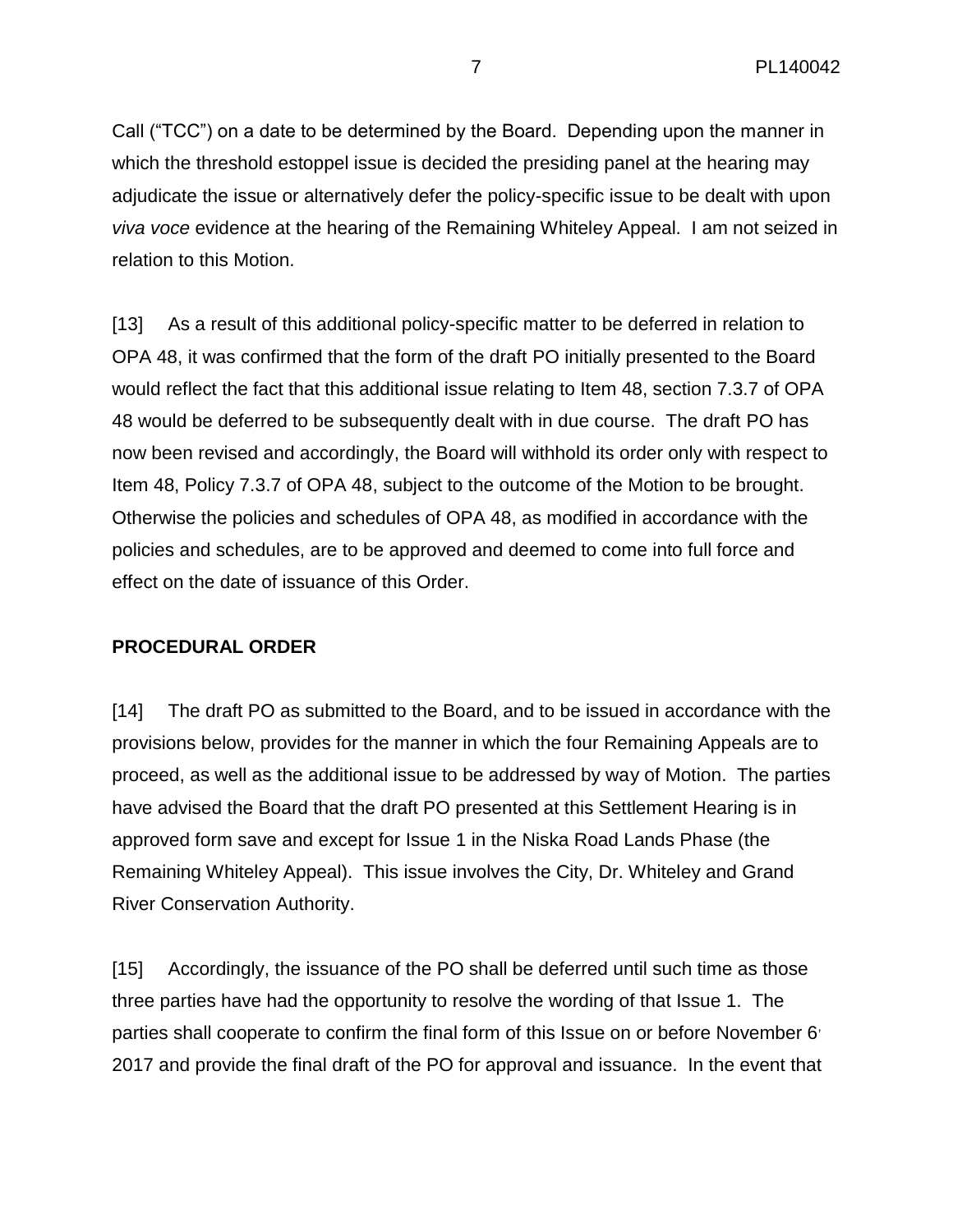Call ("TCC") on a date to be determined by the Board. Depending upon the manner in which the threshold estoppel issue is decided the presiding panel at the hearing may adjudicate the issue or alternatively defer the policy-specific issue to be dealt with upon *viva voce* evidence at the hearing of the Remaining Whiteley Appeal. I am not seized in relation to this Motion.

[13] As a result of this additional policy-specific matter to be deferred in relation to OPA 48, it was confirmed that the form of the draft PO initially presented to the Board would reflect the fact that this additional issue relating to Item 48, section 7.3.7 of OPA 48 would be deferred to be subsequently dealt with in due course. The draft PO has now been revised and accordingly, the Board will withhold its order only with respect to Item 48, Policy 7.3.7 of OPA 48, subject to the outcome of the Motion to be brought. Otherwise the policies and schedules of OPA 48, as modified in accordance with the policies and schedules, are to be approved and deemed to come into full force and effect on the date of issuance of this Order.

# **PROCEDURAL ORDER**

[14] The draft PO as submitted to the Board, and to be issued in accordance with the provisions below, provides for the manner in which the four Remaining Appeals are to proceed, as well as the additional issue to be addressed by way of Motion. The parties have advised the Board that the draft PO presented at this Settlement Hearing is in approved form save and except for Issue 1 in the Niska Road Lands Phase (the Remaining Whiteley Appeal). This issue involves the City, Dr. Whiteley and Grand River Conservation Authority.

[15] Accordingly, the issuance of the PO shall be deferred until such time as those three parties have had the opportunity to resolve the wording of that Issue 1. The parties shall cooperate to confirm the final form of this Issue on or before November 6<sup>,</sup> 2017 and provide the final draft of the PO for approval and issuance. In the event that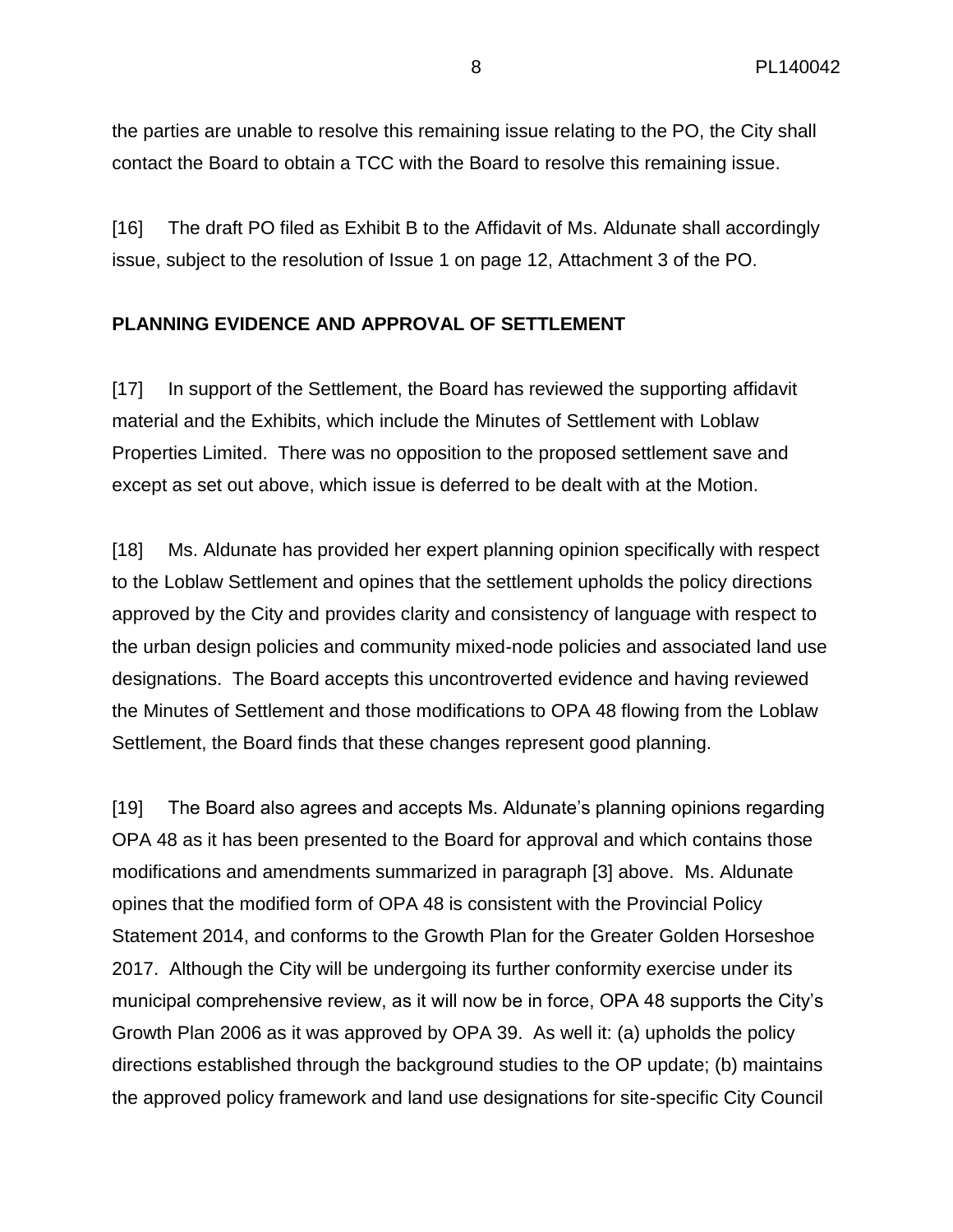the parties are unable to resolve this remaining issue relating to the PO, the City shall contact the Board to obtain a TCC with the Board to resolve this remaining issue.

[16] The draft PO filed as Exhibit B to the Affidavit of Ms. Aldunate shall accordingly issue, subject to the resolution of Issue 1 on page 12, Attachment 3 of the PO.

#### **PLANNING EVIDENCE AND APPROVAL OF SETTLEMENT**

[17] In support of the Settlement, the Board has reviewed the supporting affidavit material and the Exhibits, which include the Minutes of Settlement with Loblaw Properties Limited. There was no opposition to the proposed settlement save and except as set out above, which issue is deferred to be dealt with at the Motion.

[18] Ms. Aldunate has provided her expert planning opinion specifically with respect to the Loblaw Settlement and opines that the settlement upholds the policy directions approved by the City and provides clarity and consistency of language with respect to the urban design policies and community mixed-node policies and associated land use designations. The Board accepts this uncontroverted evidence and having reviewed the Minutes of Settlement and those modifications to OPA 48 flowing from the Loblaw Settlement, the Board finds that these changes represent good planning.

[19] The Board also agrees and accepts Ms. Aldunate's planning opinions regarding OPA 48 as it has been presented to the Board for approval and which contains those modifications and amendments summarized in paragraph [3] above. Ms. Aldunate opines that the modified form of OPA 48 is consistent with the Provincial Policy Statement 2014, and conforms to the Growth Plan for the Greater Golden Horseshoe 2017. Although the City will be undergoing its further conformity exercise under its municipal comprehensive review, as it will now be in force, OPA 48 supports the City's Growth Plan 2006 as it was approved by OPA 39. As well it: (a) upholds the policy directions established through the background studies to the OP update; (b) maintains the approved policy framework and land use designations for site-specific City Council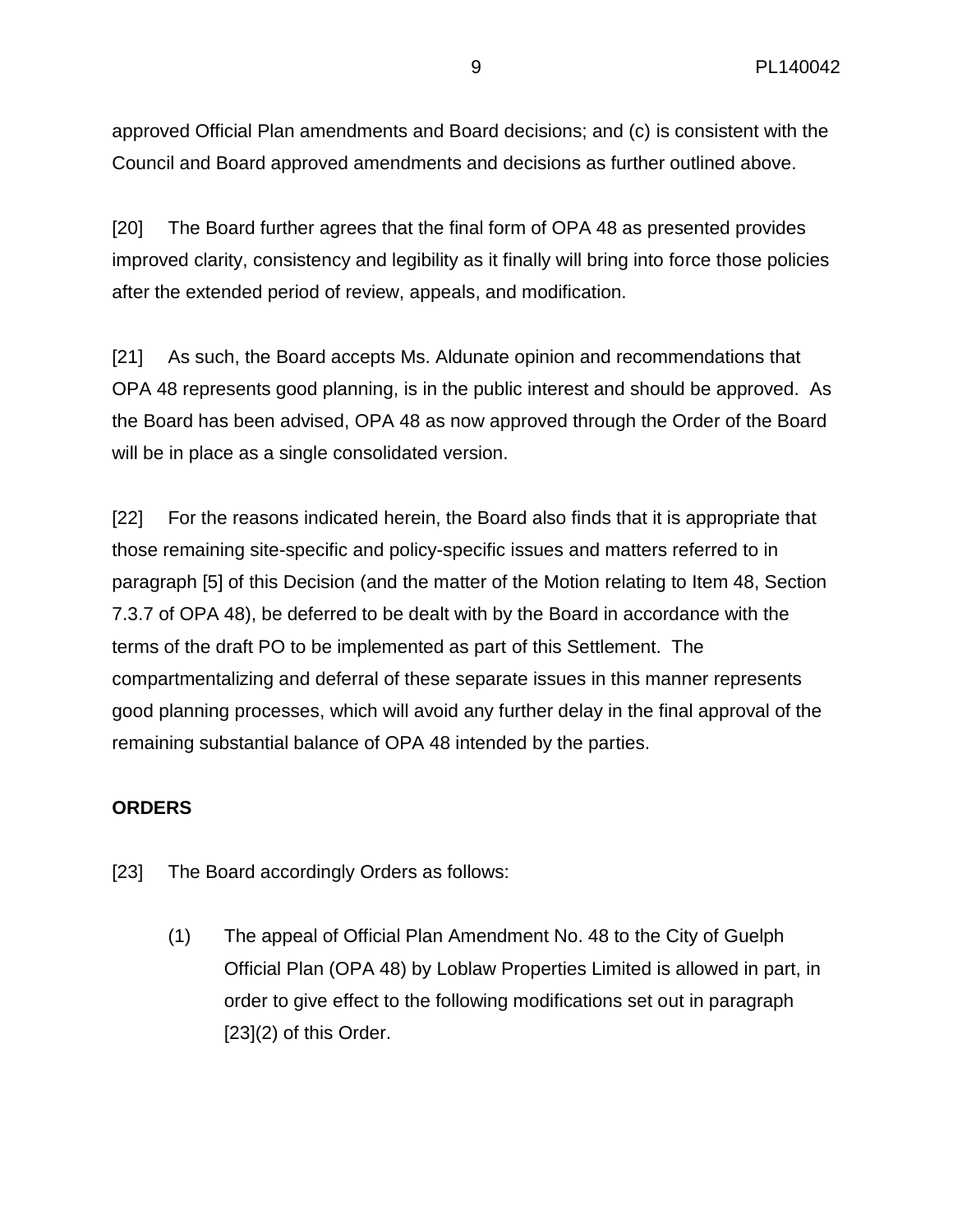approved Official Plan amendments and Board decisions; and (c) is consistent with the Council and Board approved amendments and decisions as further outlined above.

[20] The Board further agrees that the final form of OPA 48 as presented provides improved clarity, consistency and legibility as it finally will bring into force those policies after the extended period of review, appeals, and modification.

[21] As such, the Board accepts Ms. Aldunate opinion and recommendations that OPA 48 represents good planning, is in the public interest and should be approved. As the Board has been advised, OPA 48 as now approved through the Order of the Board will be in place as a single consolidated version.

[22] For the reasons indicated herein, the Board also finds that it is appropriate that those remaining site-specific and policy-specific issues and matters referred to in paragraph [5] of this Decision (and the matter of the Motion relating to Item 48, Section 7.3.7 of OPA 48), be deferred to be dealt with by the Board in accordance with the terms of the draft PO to be implemented as part of this Settlement. The compartmentalizing and deferral of these separate issues in this manner represents good planning processes, which will avoid any further delay in the final approval of the remaining substantial balance of OPA 48 intended by the parties.

# **ORDERS**

- [23] The Board accordingly Orders as follows:
	- (1) The appeal of Official Plan Amendment No. 48 to the City of Guelph Official Plan (OPA 48) by Loblaw Properties Limited is allowed in part, in order to give effect to the following modifications set out in paragraph [23](2) of this Order.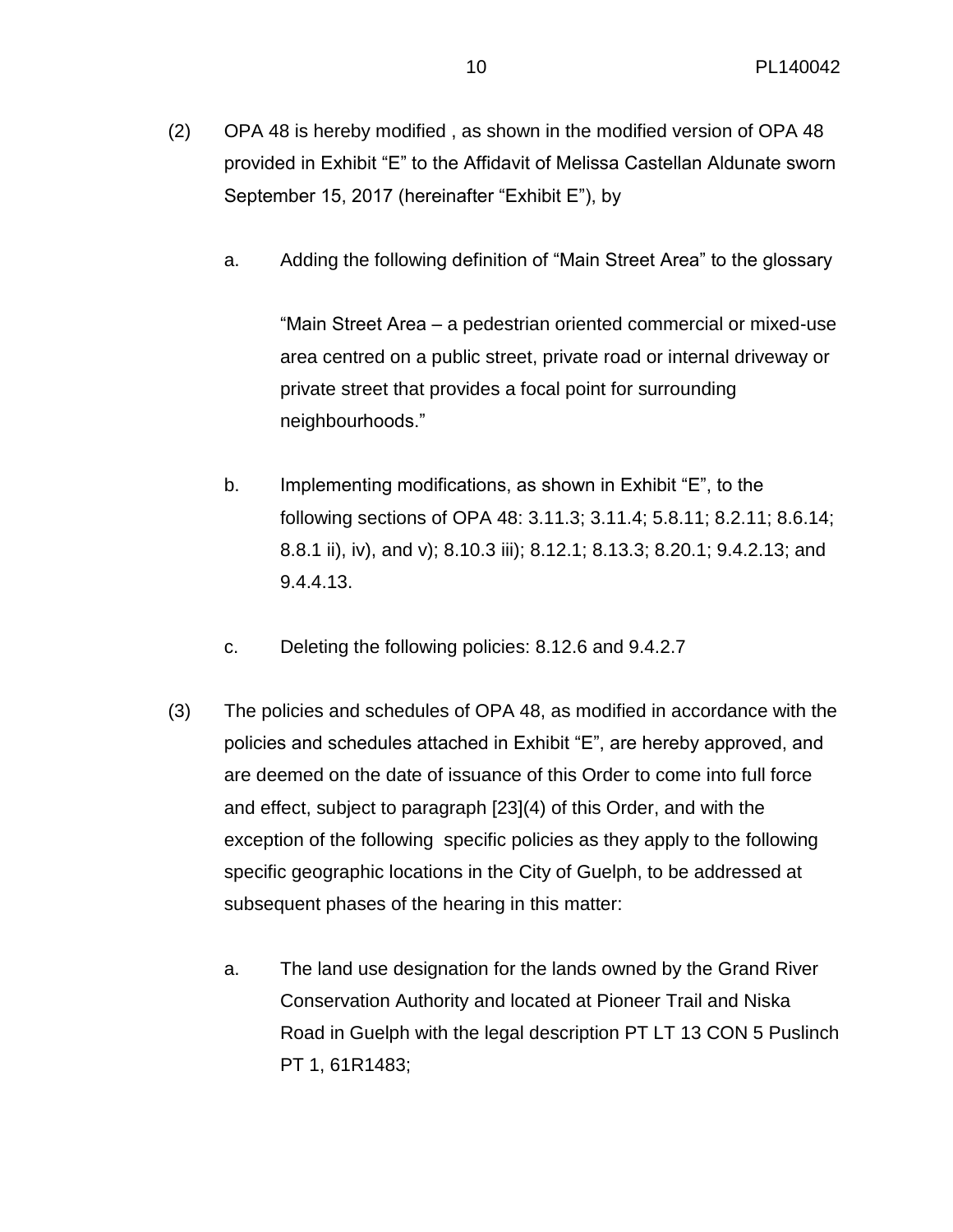- (2) OPA 48 is hereby modified , as shown in the modified version of OPA 48 provided in Exhibit "E" to the Affidavit of Melissa Castellan Aldunate sworn September 15, 2017 (hereinafter "Exhibit E"), by
	- a. Adding the following definition of "Main Street Area" to the glossary

"Main Street Area – a pedestrian oriented commercial or mixed-use area centred on a public street, private road or internal driveway or private street that provides a focal point for surrounding neighbourhoods."

- b. Implementing modifications, as shown in Exhibit "E", to the following sections of OPA 48: 3.11.3; 3.11.4; 5.8.11; 8.2.11; 8.6.14; 8.8.1 ii), iv), and v); 8.10.3 iii); 8.12.1; 8.13.3; 8.20.1; 9.4.2.13; and 9.4.4.13.
- c. Deleting the following policies: 8.12.6 and 9.4.2.7
- (3) The policies and schedules of OPA 48, as modified in accordance with the policies and schedules attached in Exhibit "E", are hereby approved, and are deemed on the date of issuance of this Order to come into full force and effect, subject to paragraph [23](4) of this Order, and with the exception of the following specific policies as they apply to the following specific geographic locations in the City of Guelph, to be addressed at subsequent phases of the hearing in this matter:
	- a. The land use designation for the lands owned by the Grand River Conservation Authority and located at Pioneer Trail and Niska Road in Guelph with the legal description PT LT 13 CON 5 Puslinch PT 1, 61R1483;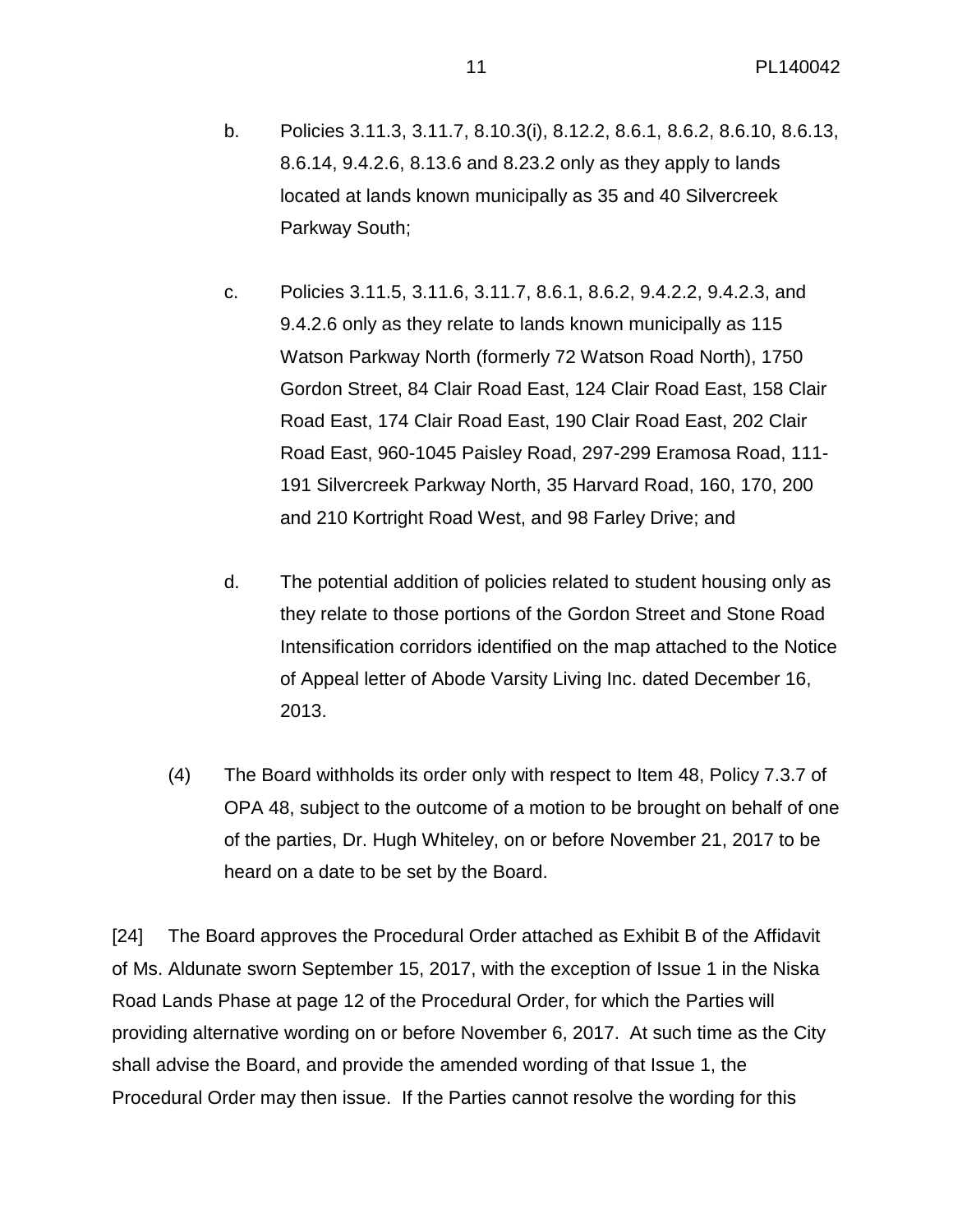- b. Policies 3.11.3, 3.11.7, 8.10.3(i), 8.12.2, 8.6.1, 8.6.2, 8.6.10, 8.6.13, 8.6.14, 9.4.2.6, 8.13.6 and 8.23.2 only as they apply to lands located at lands known municipally as 35 and 40 Silvercreek Parkway South;
- c. Policies 3.11.5, 3.11.6, 3.11.7, 8.6.1, 8.6.2, 9.4.2.2, 9.4.2.3, and 9.4.2.6 only as they relate to lands known municipally as 115 Watson Parkway North (formerly 72 Watson Road North), 1750 Gordon Street, 84 Clair Road East, 124 Clair Road East, 158 Clair Road East, 174 Clair Road East, 190 Clair Road East, 202 Clair Road East, 960-1045 Paisley Road, 297-299 Eramosa Road, 111- 191 Silvercreek Parkway North, 35 Harvard Road, 160, 170, 200 and 210 Kortright Road West, and 98 Farley Drive; and
- d. The potential addition of policies related to student housing only as they relate to those portions of the Gordon Street and Stone Road Intensification corridors identified on the map attached to the Notice of Appeal letter of Abode Varsity Living Inc. dated December 16, 2013.
- (4) The Board withholds its order only with respect to Item 48, Policy 7.3.7 of OPA 48, subject to the outcome of a motion to be brought on behalf of one of the parties, Dr. Hugh Whiteley, on or before November 21, 2017 to be heard on a date to be set by the Board.

[24] The Board approves the Procedural Order attached as Exhibit B of the Affidavit of Ms. Aldunate sworn September 15, 2017, with the exception of Issue 1 in the Niska Road Lands Phase at page 12 of the Procedural Order, for which the Parties will providing alternative wording on or before November 6, 2017. At such time as the City shall advise the Board, and provide the amended wording of that Issue 1, the Procedural Order may then issue. If the Parties cannot resolve the wording for this